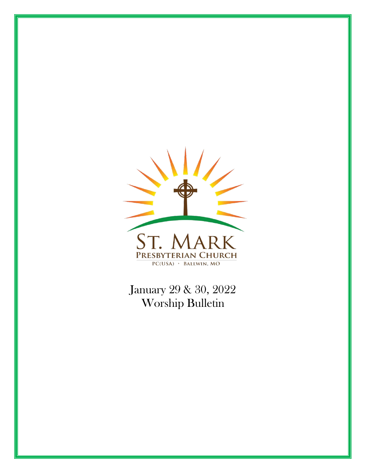

January 29 & 30, 2022 Worship Bulletin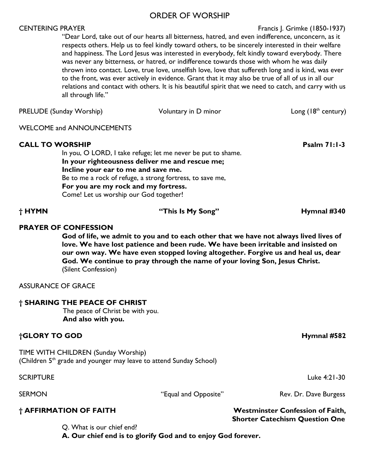#### ORDER OF WORSHIP

#### CENTERING PRAYER FRAGIST CENTERING PRAYER FRAGIST CENTERING PRAYER

"Dear Lord, take out of our hearts all bitterness, hatred, and even indifference, unconcern, as it respects others. Help us to feel kindly toward others, to be sincerely interested in their welfare and happiness. The Lord Jesus was interested in everybody, felt kindly toward everybody. There was never any bitterness, or hatred, or indifference towards those with whom he was daily thrown into contact. Love, true love, unselfish love, love that suffereth long and is kind, was ever to the front, was ever actively in evidence. Grant that it may also be true of all of us in all our relations and contact with others. It is his beautiful spirit that we need to catch, and carry with us all through life."

| <b>PRELUDE (Sunday Worship)</b>                                                                       | Voluntary in D minor                                                                                                                                                         | Long $(18th$ century) |
|-------------------------------------------------------------------------------------------------------|------------------------------------------------------------------------------------------------------------------------------------------------------------------------------|-----------------------|
| <b>WELCOME and ANNOUNCEMENTS</b>                                                                      |                                                                                                                                                                              |                       |
| <b>CALL TO WORSHIP</b><br>Incline your ear to me and save me.<br>For you are my rock and my fortress. | In you, O LORD, I take refuge; let me never be put to shame.<br>In your righteousness deliver me and rescue me;<br>Be to me a rock of refuge, a strong fortress, to save me, | <b>Psalm 71:1-3</b>   |

Come! Let us worship our God together!

#### **PRAYER OF CONFESSION**

**God of life, we admit to you and to each other that we have not always lived lives of love. We have lost patience and been rude. We have been irritable and insisted on our own way. We have even stopped loving altogether. Forgive us and heal us, dear God. We continue to pray through the name of your loving Son, Jesus Christ.**  (Silent Confession)

#### ASSURANCE OF GRACE

#### **† SHARING THE PEACE OF CHRIST**

The peace of Christ be with you. **And also with you.**

#### **†GLORY TO GOD Hymnal #582**

TIME WITH CHILDREN (Sunday Worship) (Children  $5<sup>th</sup>$  grade and younger may leave to attend Sunday School)

Q. What is our chief end?

 **A. Our chief end is to glorify God and to enjoy God forever.** 

#### **† HYMN "This Is My Song" Hymnal #340**

SCRIPTURE Luke 4:21-30

**† AFFIRMATION OF FAITH Westminster Confession of Faith,** 

SERMON THE SERMON "Equal and Opposite" Rev. Dr. Dave Burgess

 **Shorter Catechism Question One**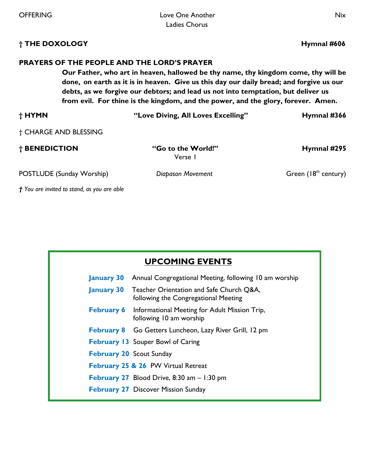# **† THE DOXOLOGY Hymnal #606**

## **PRAYERS OF THE PEOPLE AND THE LORD'S PRAYER**

**Our Father, who art in heaven, hallowed be thy name, thy kingdom come, thy will be done, on earth as it is in heaven. Give us this day our daily bread; and forgive us our debts, as we forgive our debtors; and lead us not into temptation, but deliver us from evil. For thine is the kingdom, and the power, and the glory, forever. Amen.** 

| † HYMN                    | "Love Diving, All Loves Excelling" | Hymnal #366            |
|---------------------------|------------------------------------|------------------------|
| † CHARGE AND BLESSING     |                                    |                        |
| † BENEDICTION             | "Go to the World!"<br>Verse I      | Hymnal #295            |
| POSTLUDE (Sunday Worship) | Diapason Movement                  | Green $(18th century)$ |

*† You are invited to stand, as you are able* 

| <b>UPCOMING EVENTS</b> |                                                                                                    |  |
|------------------------|----------------------------------------------------------------------------------------------------|--|
| <b>January 30</b>      | Annual Congregational Meeting, following 10 am worship                                             |  |
|                        | <b>January 30</b> Teacher Orientation and Safe Church Q&A,<br>following the Congregational Meeting |  |
|                        | <b>February 6</b> Informational Meeting for Adult Mission Trip,<br>following 10 am worship         |  |
|                        | February 8 Go Getters Luncheon, Lazy River Grill, 12 pm                                            |  |
|                        | <b>February 13</b> Souper Bowl of Caring                                                           |  |
|                        | <b>February 20 Scout Sunday</b>                                                                    |  |
|                        | February 25 & 26 PW Virtual Retreat                                                                |  |
|                        | <b>February 27</b> Blood Drive, 8:30 am $-1:30$ pm                                                 |  |
|                        | <b>February 27 Discover Mission Sunday</b>                                                         |  |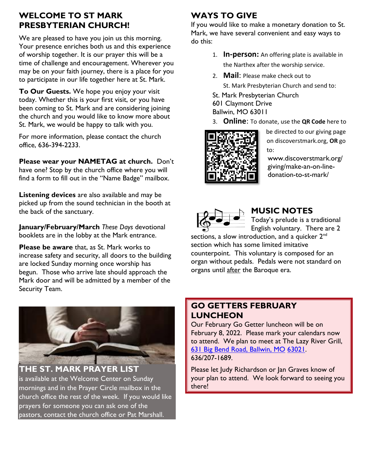# **WELCOME TO ST MARK PRESBYTERIAN CHURCH!**

We are pleased to have you join us this morning. Your presence enriches both us and this experience of worship together. It is our prayer this will be a time of challenge and encouragement. Wherever you may be on your faith journey, there is a place for you to participate in our life together here at St. Mark.

**To Our Guests.** We hope you enjoy your visit today. Whether this is your first visit, or you have been coming to St. Mark and are considering joining the church and you would like to know more about St. Mark, we would be happy to talk with you.

For more information, please contact the church office, 636-394-2233.

**Please wear your NAMETAG at church.** Don't have one? Stop by the church office where you will find a form to fill out in the "Name Badge" mailbox.

**Listening devices** are also available and may be picked up from the sound technician in the booth at the back of the sanctuary.

**January/February/March** *These Days* devotional booklets are in the lobby at the Mark entrance.

**Please be aware** that, as St. Mark works to increase safety and security, all doors to the building are locked Sunday morning once worship has begun. Those who arrive late should approach the Mark door and will be admitted by a member of the Security Team.



**THE ST. MARK PRAYER LIST** is available at the Welcome Center on Sunday mornings and in the Prayer Circle mailbox in the church office the rest of the week. If you would like prayers for someone you can ask one of the pastors, contact the church office or Pat Marshall.

# **WAYS TO GIVE**

If you would like to make a monetary donation to St. Mark, we have several convenient and easy ways to do this:

- 1. **In-person:** An offering plate is available in the Narthex after the worship service.
- 2. **Mail**: Please make check out to St. Mark Presbyterian Church and send to:
- St. Mark Presbyterian Church
- 601 Claymont Drive
- Ballwin, MO 63011
- 3. **Online**: To donate, use the **QR Code** here to



be directed to our giving page on discoverstmark.org, **OR** go to:

www.discoverstmark.org/ giving/make-an-on-linedonation-to-st-mark/



# **MUSIC NOTES**

Today's prelude is a traditional English voluntary. There are 2

sections, a slow introduction, and a quicker  $2^{nd}$ section which has some limited imitative counterpoint. This voluntary is composed for an organ without pedals. Pedals were not standard on organs until after the Baroque era.

#### **GO GETTERS FEBRUARY LUNCHEON**

Our February Go Getter luncheon will be on February 8, 2022. Please mark your calendars now to attend. We plan to meet at The Lazy River Grill, [631 Big Bend Road, Ballwin, MO](https://www.google.com/maps/search/631+Big+Bend+Road,+Ballwin,+MO+63021?entry=gmail&source=g) [63021.](https://www.google.com/maps/search/631+Big+Bend+Road,+Ballwin,+MO+63021?entry=gmail&source=g) 636/207-1689.

Please let Judy Richardson or Jan Graves know of your plan to attend. We look forward to seeing you there!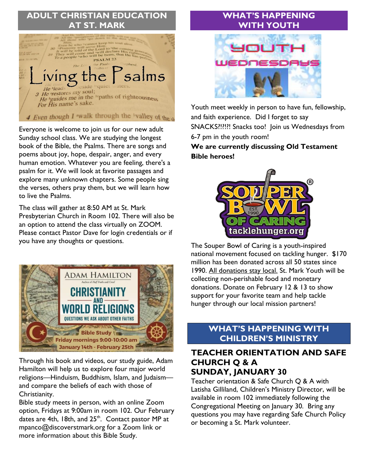# **ADULT CHRISTIAN EDUCATION ST. MARK**



Everyone is welcome to join us for our new adult Sunday school class. We are studying the longest book of the Bible, the Psalms. There are songs and poems about joy, hope, despair, anger, and every human emotion. Whatever you are feeling, there's a psalm for it. We will look at favorite passages and explore many unknown chapters. Some people sing the verses, others pray them, but we will learn how to live the Psalms.

The class will gather at 8:50 AM at St. Mark Presbyterian Church in Room 102. There will also be an option to attend the class virtually on ZOOM. Please contact Pastor Dave for login credentials or if you have any thoughts or questions.



Through his book and videos, our study guide, Adam Hamilton will help us to explore four major world religions—Hinduism, Buddhism, Islam, and Judaism and compare the beliefs of each with those of Christianity.

Bible study meets in person, with an online Zoom option, Fridays at 9:00am in room 102. Our February dates are 4th, 18th, and 25<sup>th</sup>. Contact pastor MP at mpanco@discoverstmark.org for a Zoom link or more information about this Bible Study.

## **WHAT'S HAPPENING WITH YOUTH**



Youth meet weekly in person to have fun, fellowship, and faith experience. Did I forget to say SNACKS?!?!?! Snacks too! Join us Wednesdays from 6-7 pm in the youth room!

**We are currently discussing Old Testament Bible heroes!**



The Souper Bowl of Caring is a youth-inspired national movement focused on tackling hunger. \$170 million has been donated across all 50 states since 1990. All donations stay local. St. Mark Youth will be collecting non-perishable food and monetary donations. Donate on February 12 & 13 to show support for your favorite team and help tackle hunger through our local mission partners!

#### **WHAT'S HAPPENING WITH CHILDREN'S MINISTRY**

#### **TEACHER ORIENTATION AND SAFE CHURCH Q & A SUNDAY, JANUARY 30**

Teacher orientation & Safe Church Q & A with Latisha Gilliland, Children's Ministry Director, will be available in room 102 immediately following the Congregational Meeting on January 30. Bring any questions you may have regarding Safe Church Policy or becoming a St. Mark volunteer.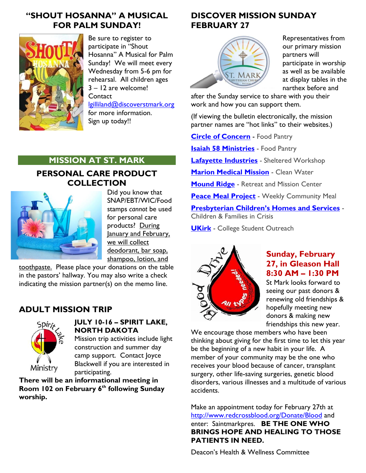## **"SHOUT HOSANNA" A MUSICAL FOR PALM SUNDAY!**



Be sure to register to participate in "Shout Hosanna" A Musical for Palm Sunday! We will meet every Wednesday from 5-6 pm for rehearsal. All children ages 3 – 12 are welcome! **Contact** 

[lgilliland@discoverstmark.org](mailto:lgilliland@discoverstmark.org) for more information. Sign up today!!

#### **MISSION AT ST. MARK**

#### **PERSONAL CARE PRODUCT COLLECTION**



Did you know that SNAP/EBT/WIC/Food stamps *cannot* be used for personal care products? During January and February, we will collect deodorant, bar soap, shampoo, lotion, and

toothpaste. Please place your donations on the table in the pastors' hallway. You may also write a check indicating the mission partner(s) on the memo line.

# **ADULT MISSION TRIP**



#### **JULY 10-16 – SPIRIT LAKE, NORTH DAKOTA**

Mission trip activities include light construction and summer day camp support. Contact Joyce Blackwell if you are interested in participating.

**There will be an informational meeting in Room 102 on February 6 th following Sunday worship.** 

# **DISCOVER MISSION SUNDAY FEBRUARY 27**



Representatives from our primary mission partners will participate in worship as well as be available at display tables in the narthex before and

after the Sunday service to share with you their work and how you can support them.

(If viewing the bulletin electronically, the mission partner names are "hot links" to their websites.)

**[Circle of Concern](https://www.circleofconcern.org/)** - Food Pantry

**[Isaiah 58 Ministries](http://i58ministries.org/)** - Food Pantry

**[Lafayette Industries](http://lafayetteindustries.com/)** - Sheltered Workshop

**[Marion Medical Mission](https://d.docs.live.net/ba43d0df6f3bbde3/Documents/St.%20Mark%20Mission/mmmwater.org)** - Clean Water

**[Mound Ridge](http://moundridge.org/)** - Retreat and Mission Center

**[Peace Meal Project](http://towergrovechurch.org/peace-meal/)** - Weekly Community Meal

**[Presbyterian Children's Homes and Services](http://pchas.org/)** - Children & Families in Crisis

**[UKirk](http://ukirkstl.org/)** - College Student Outreach



## **Sunday, February 27, in Gleason Hall 8:30 AM – 1:30 PM**

St Mark looks forward to seeing our past donors & renewing old friendships & hopefully meeting new donors & making new friendships this new year.

We encourage those members who have been thinking about giving for the first time to let this year be the beginning of a new habit in your life. A member of your community may be the one who receives your blood because of cancer, transplant surgery, other life-saving surgeries, genetic blood disorders, various illnesses and a multitude of various accidents.

Make an appointment today for February 27th at <http://www.redcrossblood.org/Donate/Blood> and enter: Saintmarkpres. **BE THE ONE WHO BRINGS HOPE AND HEALING TO THOSE PATIENTS IN NEED.**

Deacon's Health & Wellness Committee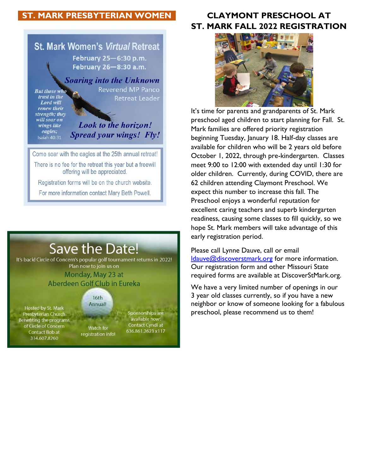## **ST. MARK PRESBYTERIAN WOMEN CLAYMONT PRESCHOOL AT**



# **Save the Date!**

It's back! Circle of Concern's popular golf tournament returns in 2022! Plan now to join us on Monday, May 23 at

Aberdeen Golf Club in Eureka

#### $16th$ Annual!

Hosted by St. Mark Presbyterian Church Benefiting the programs of Circle of Concern Contact Bob at 314.607.8260

Watch for registration info!

Sponsorships are available now! Contact Cyndi at 636.861.2623 x117

# **ST. MARK FALL 2022 REGISTRATION**



It's time for parents and grandparents of St. Mark preschool aged children to start planning for Fall. St. Mark families are offered priority registration beginning Tuesday, January 18. Half-day classes are available for children who will be 2 years old before October 1, 2022, through pre-kindergarten. Classes meet 9:00 to 12:00 with extended day until 1:30 for older children. Currently, during COVID, there are 62 children attending Claymont Preschool. We expect this number to increase this fall. The Preschool enjoys a wonderful reputation for excellent caring teachers and superb kindergarten readiness, causing some classes to fill quickly, so we hope St. Mark members will take advantage of this early registration period.

Please call Lynne Dauve, call or email [ldauve@discoverstmark.org](mailto:ldauve@discoverstmark.org) for more information. Our registration form and other Missouri State required forms are available at DiscoverStMark.org.

We have a very limited number of openings in our 3 year old classes currently, so if you have a new neighbor or know of someone looking for a fabulous preschool, please recommend us to them!